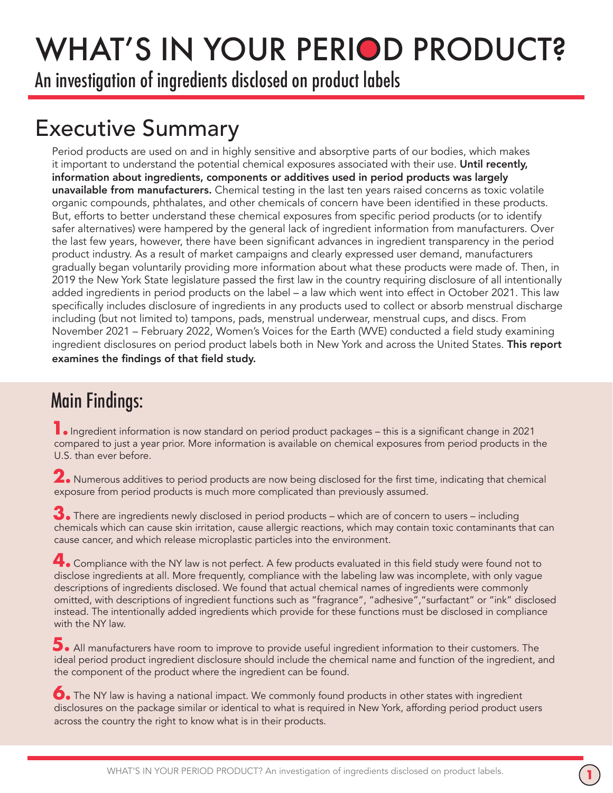## WHAT'S IN YOUR PERIOD PRODUCT?

An investigation of ingredients disclosed on product labels

## Executive Summary

Period products are used on and in highly sensitive and absorptive parts of our bodies, which makes it important to understand the potential chemical exposures associated with their use. Until recently, information about ingredients, components or additives used in period products was largely unavailable from manufacturers. Chemical testing in the last ten years raised concerns as toxic volatile organic compounds, phthalates, and other chemicals of concern have been identified in these products. But, efforts to better understand these chemical exposures from specific period products (or to identify safer alternatives) were hampered by the general lack of ingredient information from manufacturers. Over the last few years, however, there have been significant advances in ingredient transparency in the period product industry. As a result of market campaigns and clearly expressed user demand, manufacturers gradually began voluntarily providing more information about what these products were made of. Then, in 2019 the New York State legislature passed the first law in the country requiring disclosure of all intentionally added ingredients in period products on the label – a law which went into effect in October 2021. This law specifically includes disclosure of ingredients in any products used to collect or absorb menstrual discharge including (but not limited to) tampons, pads, menstrual underwear, menstrual cups, and discs. From November 2021 – February 2022, Women's Voices for the Earth (WVE) conducted a field study examining ingredient disclosures on period product labels both in New York and across the United States. This report examines the findings of that field study.

## Main Findings:

**1.** Ingredient information is now standard on period product packages – this is a significant change in 2021 compared to just a year prior. More information is available on chemical exposures from period products in the U.S. than ever before.

 Numerous additives to period products are now being disclosed for the first time, indicating that chemical **2.** exposure from period products is much more complicated than previously assumed.

 There are ingredients newly disclosed in period products – which are of concern to users – including **3.** chemicals which can cause skin irritation, cause allergic reactions, which may contain toxic contaminants that can cause cancer, and which release microplastic particles into the environment.

 Compliance with the NY law is not perfect. A few products evaluated in this field study were found not to **4.** disclose ingredients at all. More frequently, compliance with the labeling law was incomplete, with only vague descriptions of ingredients disclosed. We found that actual chemical names of ingredients were commonly omitted, with descriptions of ingredient functions such as "fragrance", "adhesive","surfactant" or "ink" disclosed instead. The intentionally added ingredients which provide for these functions must be disclosed in compliance with the NY law.

 All manufacturers have room to improve to provide useful ingredient information to their customers. The **5.** ideal period product ingredient disclosure should include the chemical name and function of the ingredient, and the component of the product where the ingredient can be found.

 The NY law is having a national impact. We commonly found products in other states with ingredient **6.** disclosures on the package similar or identical to what is required in New York, affording period product users across the country the right to know what is in their products.

**1**